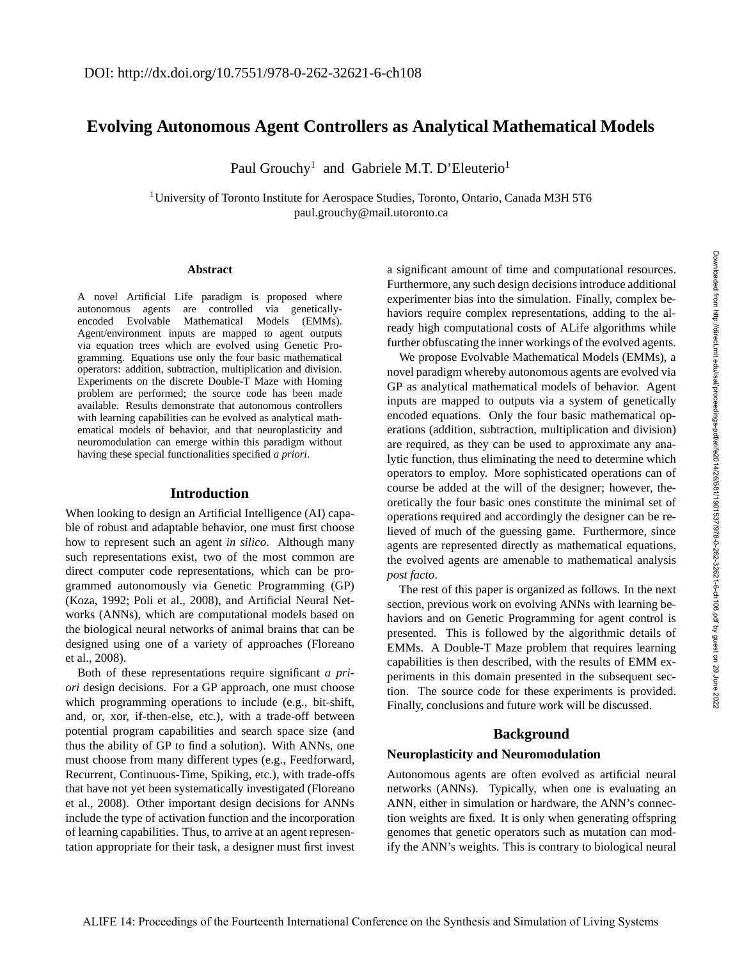Downloaded from http://direct.mit.edu/isal/proceedings-pdf/alife2014/26/681/1901537/978-0-262-32621-6-ch108.pdf by guest on 29 June 2022

Downloaded from http://direct.mit.edu/isal/proceedings-pdf/alife2014/26/681/1901537/978-0-262-232621-6-ch108.pdf by guest on 29 June 2022

# **Evolving Autonomous Agent Controllers as Analytical Mathematical Models**

Paul Grouchy<sup>1</sup> and Gabriele M.T. D'Eleuterio<sup>1</sup>

<sup>1</sup>University of Toronto Institute for Aerospace Studies, Toronto, Ontario, Canada M3H 5T6 paul.grouchy@mail.utoronto.ca

#### **Abstract**

A novel Artificial Life paradigm is proposed where autonomous agents are controlled via geneticallyencoded Evolvable Mathematical Models (EMMs). Agent/environment inputs are mapped to agent outputs via equation trees which are evolved using Genetic Programming. Equations use only the four basic mathematical operators: addition, subtraction, multiplication and division. Experiments on the discrete Double-T Maze with Homing problem are performed; the source code has been made available. Results demonstrate that autonomous controllers with learning capabilities can be evolved as analytical mathematical models of behavior, and that neuroplasticity and neuromodulation can emerge within this paradigm without having these special functionalities specified *a priori*.

# **Introduction**

When looking to design an Artificial Intelligence (AI) capable of robust and adaptable behavior, one must first choose how to represent such an agent *in silico*. Although many such representations exist, two of the most common are direct computer code representations, which can be programmed autonomously via Genetic Programming (GP) (Koza, 1992; Poli et al., 2008), and Artificial Neural Networks (ANNs), which are computational models based on the biological neural networks of animal brains that can be designed using one of a variety of approaches (Floreano et al., 2008).

Both of these representations require significant *a priori* design decisions. For a GP approach, one must choose which programming operations to include (e.g., bit-shift, and, or, xor, if-then-else, etc.), with a trade-off between potential program capabilities and search space size (and thus the ability of GP to find a solution). With ANNs, one must choose from many different types (e.g., Feedforward, Recurrent, Continuous-Time, Spiking, etc.), with trade-offs that have not yet been systematically investigated (Floreano et al., 2008). Other important design decisions for ANNs include the type of activation function and the incorporation of learning capabilities. Thus, to arrive at an agent representation appropriate for their task, a designer must first invest a significant amount of time and computational resources. Furthermore, any such design decisions introduce additional experimenter bias into the simulation. Finally, complex behaviors require complex representations, adding to the already high computational costs of ALife algorithms while further obfuscating the inner workings of the evolved agents.

We propose Evolvable Mathematical Models (EMMs), a novel paradigm whereby autonomous agents are evolved via GP as analytical mathematical models of behavior. Agent inputs are mapped to outputs via a system of genetically encoded equations. Only the four basic mathematical operations (addition, subtraction, multiplication and division) are required, as they can be used to approximate any analytic function, thus eliminating the need to determine which operators to employ. More sophisticated operations can of course be added at the will of the designer; however, theoretically the four basic ones constitute the minimal set of operations required and accordingly the designer can be relieved of much of the guessing game. Furthermore, since agents are represented directly as mathematical equations, the evolved agents are amenable to mathematical analysis *post facto*.

The rest of this paper is organized as follows. In the next section, previous work on evolving ANNs with learning behaviors and on Genetic Programming for agent control is presented. This is followed by the algorithmic details of EMMs. A Double-T Maze problem that requires learning capabilities is then described, with the results of EMM experiments in this domain presented in the subsequent section. The source code for these experiments is provided. Finally, conclusions and future work will be discussed.

# **Background**

# **Neuroplasticity and Neuromodulation**

Autonomous agents are often evolved as artificial neural networks (ANNs). Typically, when one is evaluating an ANN, either in simulation or hardware, the ANN's connection weights are fixed. It is only when generating offspring genomes that genetic operators such as mutation can modify the ANN's weights. This is contrary to biological neural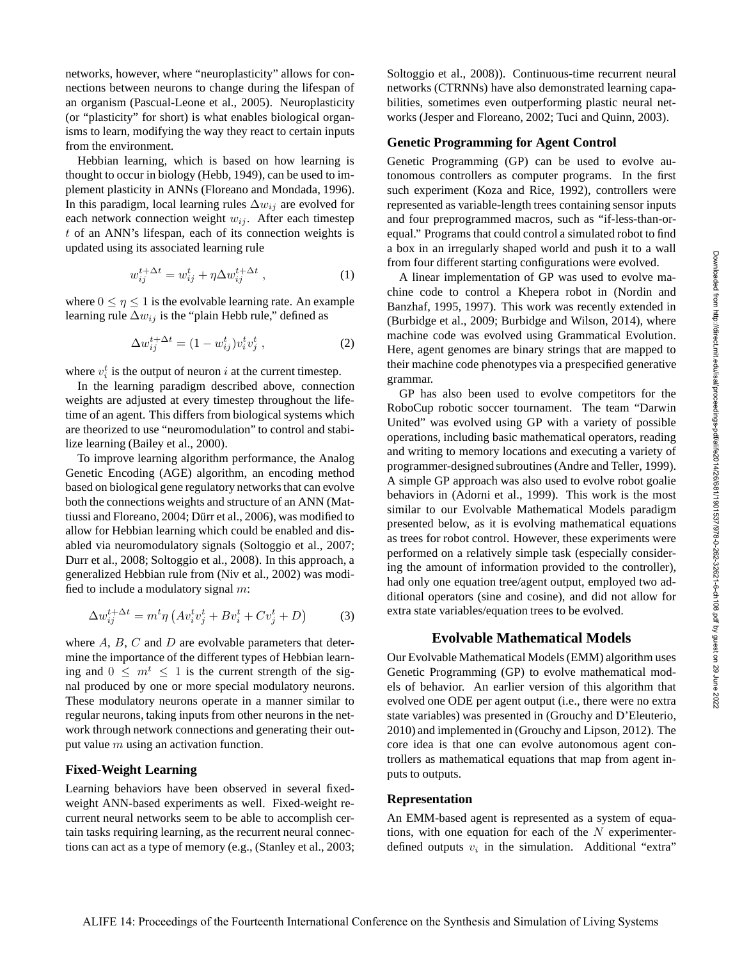networks, however, where "neuroplasticity" allows for connections between neurons to change during the lifespan of an organism (Pascual-Leone et al., 2005). Neuroplasticity (or "plasticity" for short) is what enables biological organisms to learn, modifying the way they react to certain inputs from the environment.

Hebbian learning, which is based on how learning is thought to occur in biology (Hebb, 1949), can be used to implement plasticity in ANNs (Floreano and Mondada, 1996). In this paradigm, local learning rules  $\Delta w_{ij}$  are evolved for each network connection weight  $w_{ij}$ . After each timestep t of an ANN's lifespan, each of its connection weights is updated using its associated learning rule

$$
w_{ij}^{t+\Delta t} = w_{ij}^t + \eta \Delta w_{ij}^{t+\Delta t} , \qquad (1)
$$

where  $0 \le \eta \le 1$  is the evolvable learning rate. An example learning rule  $\Delta w_{ij}$  is the "plain Hebb rule," defined as

$$
\Delta w_{ij}^{t + \Delta t} = (1 - w_{ij}^t) v_i^t v_j^t , \qquad (2)
$$

where  $v_i^t$  is the output of neuron i at the current timestep.

In the learning paradigm described above, connection weights are adjusted at every timestep throughout the lifetime of an agent. This differs from biological systems which are theorized to use "neuromodulation" to control and stabilize learning (Bailey et al., 2000).

To improve learning algorithm performance, the Analog Genetic Encoding (AGE) algorithm, an encoding method based on biological gene regulatory networks that can evolve both the connections weights and structure of an ANN (Mattiussi and Floreano, 2004; Dürr et al., 2006), was modified to allow for Hebbian learning which could be enabled and disabled via neuromodulatory signals (Soltoggio et al., 2007; Durr et al., 2008; Soltoggio et al., 2008). In this approach, a generalized Hebbian rule from (Niv et al., 2002) was modified to include a modulatory signal  $m$ :

$$
\Delta w_{ij}^{t + \Delta t} = m^t \eta \left( A v_i^t v_j^t + B v_i^t + C v_j^t + D \right) \tag{3}
$$

where  $A$ ,  $B$ ,  $C$  and  $D$  are evolvable parameters that determine the importance of the different types of Hebbian learning and  $0 \leq m^t \leq 1$  is the current strength of the signal produced by one or more special modulatory neurons. These modulatory neurons operate in a manner similar to regular neurons, taking inputs from other neurons in the network through network connections and generating their output value  $m$  using an activation function.

### **Fixed-Weight Learning**

Learning behaviors have been observed in several fixedweight ANN-based experiments as well. Fixed-weight recurrent neural networks seem to be able to accomplish certain tasks requiring learning, as the recurrent neural connections can act as a type of memory (e.g., (Stanley et al., 2003; Soltoggio et al., 2008)). Continuous-time recurrent neural networks (CTRNNs) have also demonstrated learning capabilities, sometimes even outperforming plastic neural networks (Jesper and Floreano, 2002; Tuci and Quinn, 2003).

## **Genetic Programming for Agent Control**

Genetic Programming (GP) can be used to evolve autonomous controllers as computer programs. In the first such experiment (Koza and Rice, 1992), controllers were represented as variable-length trees containing sensor inputs and four preprogrammed macros, such as "if-less-than-orequal." Programs that could control a simulated robot to find a box in an irregularly shaped world and push it to a wall from four different starting configurations were evolved.

A linear implementation of GP was used to evolve machine code to control a Khepera robot in (Nordin and Banzhaf, 1995, 1997). This work was recently extended in (Burbidge et al., 2009; Burbidge and Wilson, 2014), where machine code was evolved using Grammatical Evolution. Here, agent genomes are binary strings that are mapped to their machine code phenotypes via a prespecified generative grammar.

GP has also been used to evolve competitors for the RoboCup robotic soccer tournament. The team "Darwin United" was evolved using GP with a variety of possible operations, including basic mathematical operators, reading and writing to memory locations and executing a variety of programmer-designed subroutines (Andre and Teller, 1999). A simple GP approach was also used to evolve robot goalie behaviors in (Adorni et al., 1999). This work is the most similar to our Evolvable Mathematical Models paradigm presented below, as it is evolving mathematical equations as trees for robot control. However, these experiments were performed on a relatively simple task (especially considering the amount of information provided to the controller), had only one equation tree/agent output, employed two additional operators (sine and cosine), and did not allow for extra state variables/equation trees to be evolved.

#### **Evolvable Mathematical Models**

Our Evolvable Mathematical Models (EMM) algorithm uses Genetic Programming (GP) to evolve mathematical models of behavior. An earlier version of this algorithm that evolved one ODE per agent output (i.e., there were no extra state variables) was presented in (Grouchy and D'Eleuterio, 2010) and implemented in (Grouchy and Lipson, 2012). The core idea is that one can evolve autonomous agent controllers as mathematical equations that map from agent inputs to outputs.

#### **Representation**

An EMM-based agent is represented as a system of equations, with one equation for each of the  $N$  experimenterdefined outputs  $v_i$  in the simulation. Additional "extra"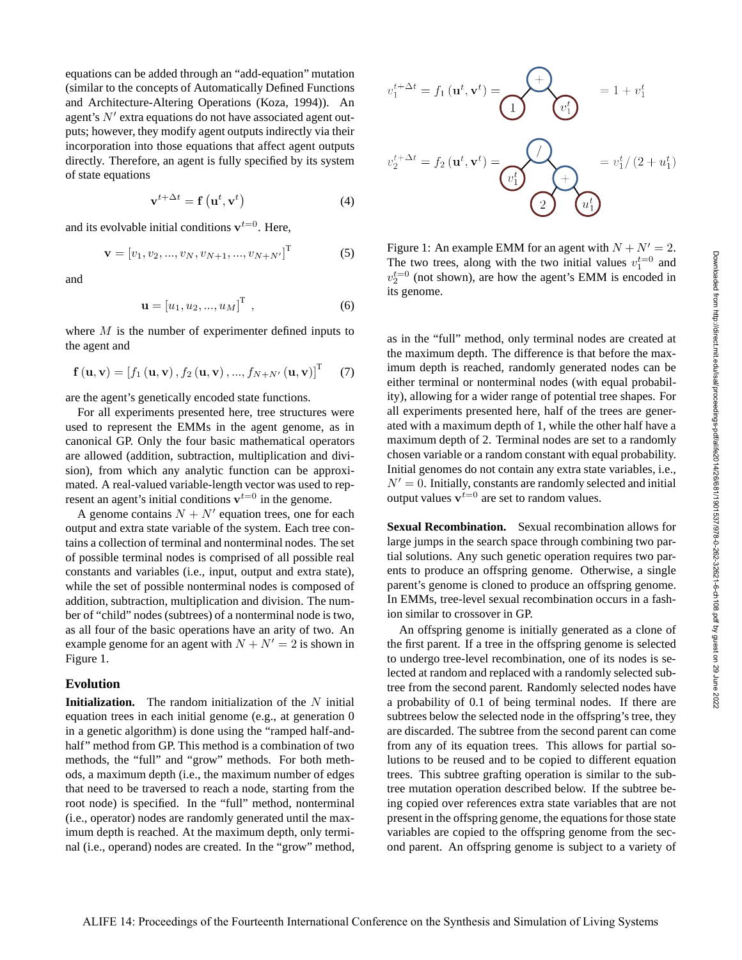equations can be added through an "add-equation" mutation (similar to the concepts of Automatically Defined Functions and Architecture-Altering Operations (Koza, 1994)). An agent's N′ extra equations do not have associated agent outputs; however, they modify agent outputs indirectly via their incorporation into those equations that affect agent outputs directly. Therefore, an agent is fully specified by its system of state equations

$$
\mathbf{v}^{t+\Delta t} = \mathbf{f}\left(\mathbf{u}^t, \mathbf{v}^t\right) \tag{4}
$$

and its evolvable initial conditions  $v^{t=0}$ . Here,

$$
\mathbf{v} = [v_1, v_2, ..., v_N, v_{N+1}, ..., v_{N+N'}]^{\mathrm{T}}
$$
(5)

and

$$
\mathbf{u} = [u_1, u_2, ..., u_M]^{\mathrm{T}} \t{,} \t(6)
$$

where  $M$  is the number of experimenter defined inputs to the agent and

$$
\mathbf{f}(\mathbf{u}, \mathbf{v}) = [f_1(\mathbf{u}, \mathbf{v}), f_2(\mathbf{u}, \mathbf{v}), ..., f_{N+N'}(\mathbf{u}, \mathbf{v})]^{\mathrm{T}} \quad (7)
$$

are the agent's genetically encoded state functions.

For all experiments presented here, tree structures were used to represent the EMMs in the agent genome, as in canonical GP. Only the four basic mathematical operators are allowed (addition, subtraction, multiplication and division), from which any analytic function can be approximated. A real-valued variable-length vector was used to represent an agent's initial conditions  $\mathbf{v}^{t=0}$  in the genome.

A genome contains  $N + N'$  equation trees, one for each output and extra state variable of the system. Each tree contains a collection of terminal and nonterminal nodes. The set of possible terminal nodes is comprised of all possible real constants and variables (i.e., input, output and extra state), while the set of possible nonterminal nodes is composed of addition, subtraction, multiplication and division. The number of "child" nodes (subtrees) of a nonterminal node is two, as all four of the basic operations have an arity of two. An example genome for an agent with  $N + N' = 2$  is shown in Figure 1.

#### **Evolution**

**Initialization.** The random initialization of the N initial equation trees in each initial genome (e.g., at generation 0 in a genetic algorithm) is done using the "ramped half-andhalf" method from GP. This method is a combination of two methods, the "full" and "grow" methods. For both methods, a maximum depth (i.e., the maximum number of edges that need to be traversed to reach a node, starting from the root node) is specified. In the "full" method, nonterminal (i.e., operator) nodes are randomly generated until the maximum depth is reached. At the maximum depth, only terminal (i.e., operand) nodes are created. In the "grow" method,

$$
v_1^{t + \Delta t} = f_1(\mathbf{u}^t, \mathbf{v}^t) = \begin{pmatrix} + \\ - \\ \frac{-t}{2} \end{pmatrix} = 1 + v_1^t
$$

$$
v_2^{t + \Delta t} = f_2(\mathbf{u}^t, \mathbf{v}^t) = \underbrace{\bigotimes_{v_1^t} \bigotimes_{v_1^t} e_1 v_1^{t}}_{\text{max}} = v_1^t / (2 + u_1^t)
$$

Figure 1: An example EMM for an agent with  $N + N' = 2$ . The two trees, along with the two initial values  $v_1^{t=0}$  and  $v_2^{t=0}$  (not shown), are how the agent's EMM is encoded in its genome.

as in the "full" method, only terminal nodes are created at the maximum depth. The difference is that before the maximum depth is reached, randomly generated nodes can be either terminal or nonterminal nodes (with equal probability), allowing for a wider range of potential tree shapes. For all experiments presented here, half of the trees are generated with a maximum depth of 1, while the other half have a maximum depth of 2. Terminal nodes are set to a randomly chosen variable or a random constant with equal probability. Initial genomes do not contain any extra state variables, i.e.,  $N' = 0$ . Initially, constants are randomly selected and initial output values  $v^{t=0}$  are set to random values.

**Sexual Recombination.** Sexual recombination allows for large jumps in the search space through combining two partial solutions. Any such genetic operation requires two parents to produce an offspring genome. Otherwise, a single parent's genome is cloned to produce an offspring genome. In EMMs, tree-level sexual recombination occurs in a fashion similar to crossover in GP.

An offspring genome is initially generated as a clone of the first parent. If a tree in the offspring genome is selected to undergo tree-level recombination, one of its nodes is selected at random and replaced with a randomly selected subtree from the second parent. Randomly selected nodes have a probability of 0.1 of being terminal nodes. If there are subtrees below the selected node in the offspring's tree, they are discarded. The subtree from the second parent can come from any of its equation trees. This allows for partial solutions to be reused and to be copied to different equation trees. This subtree grafting operation is similar to the subtree mutation operation described below. If the subtree being copied over references extra state variables that are not present in the offspring genome, the equations for those state variables are copied to the offspring genome from the second parent. An offspring genome is subject to a variety of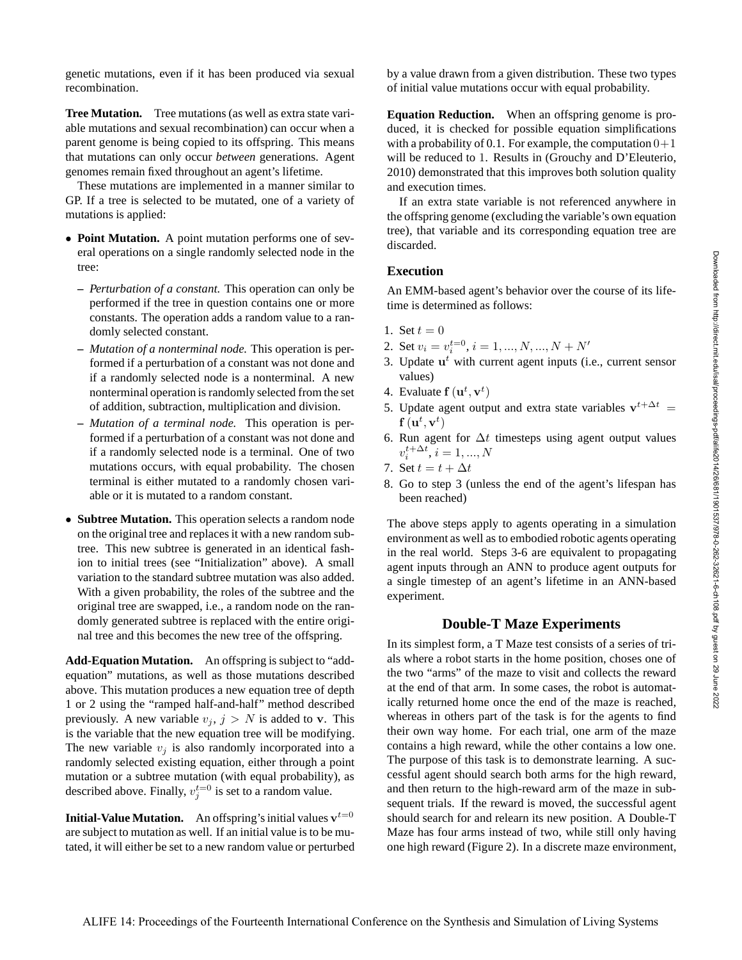genetic mutations, even if it has been produced via sexual recombination.

**Tree Mutation.** Tree mutations (as well as extra state variable mutations and sexual recombination) can occur when a parent genome is being copied to its offspring. This means that mutations can only occur *between* generations. Agent genomes remain fixed throughout an agent's lifetime.

These mutations are implemented in a manner similar to GP. If a tree is selected to be mutated, one of a variety of mutations is applied:

- **Point Mutation.** A point mutation performs one of several operations on a single randomly selected node in the tree:
	- **–** *Perturbation of a constant.* This operation can only be performed if the tree in question contains one or more constants. The operation adds a random value to a randomly selected constant.
	- **–** *Mutation of a nonterminal node.* This operation is performed if a perturbation of a constant was not done and if a randomly selected node is a nonterminal. A new nonterminal operation is randomly selected from the set of addition, subtraction, multiplication and division.
	- **–** *Mutation of a terminal node.* This operation is performed if a perturbation of a constant was not done and if a randomly selected node is a terminal. One of two mutations occurs, with equal probability. The chosen terminal is either mutated to a randomly chosen variable or it is mutated to a random constant.
- **Subtree Mutation.** This operation selects a random node on the original tree and replaces it with a new random subtree. This new subtree is generated in an identical fashion to initial trees (see "Initialization" above). A small variation to the standard subtree mutation was also added. With a given probability, the roles of the subtree and the original tree are swapped, i.e., a random node on the randomly generated subtree is replaced with the entire original tree and this becomes the new tree of the offspring.

**Add-Equation Mutation.** An offspring is subject to "addequation" mutations, as well as those mutations described above. This mutation produces a new equation tree of depth 1 or 2 using the "ramped half-and-half" method described previously. A new variable  $v_j$ ,  $j > N$  is added to v. This is the variable that the new equation tree will be modifying. The new variable  $v_i$  is also randomly incorporated into a randomly selected existing equation, either through a point mutation or a subtree mutation (with equal probability), as described above. Finally,  $v_j^{t=0}$  is set to a random value.

**Initial-Value Mutation.** An offspring's initial values  $\mathbf{v}^{t=0}$ are subject to mutation as well. If an initial value is to be mutated, it will either be set to a new random value or perturbed by a value drawn from a given distribution. These two types of initial value mutations occur with equal probability.

**Equation Reduction.** When an offspring genome is produced, it is checked for possible equation simplifications with a probability of 0.1. For example, the computation  $0+1$ will be reduced to 1. Results in (Grouchy and D'Eleuterio, 2010) demonstrated that this improves both solution quality and execution times.

If an extra state variable is not referenced anywhere in the offspring genome (excluding the variable's own equation tree), that variable and its corresponding equation tree are discarded.

#### **Execution**

An EMM-based agent's behavior over the course of its lifetime is determined as follows:

- 1. Set  $t = 0$
- 2. Set  $v_i = v_i^{t=0}, i = 1, ..., N, ..., N+N'$
- 3. Update  $\mathbf{u}^t$  with current agent inputs (i.e., current sensor values)
- 4. Evaluate  $f(\mathbf{u}^t, \mathbf{v}^t)$
- 5. Update agent output and extra state variables  $v^{t+\Delta t} =$  $\tilde{\mathbf{f}}\left(\mathbf{u}^t, \mathbf{v}^t\right)$
- 6. Run agent for  $\Delta t$  timesteps using agent output values  $v_i^{t + \Delta t}, i = 1, ..., N$
- 7. Set  $t = t + \Delta t$
- 8. Go to step 3 (unless the end of the agent's lifespan has been reached)

The above steps apply to agents operating in a simulation environment as well as to embodied robotic agents operating in the real world. Steps 3-6 are equivalent to propagating agent inputs through an ANN to produce agent outputs for a single timestep of an agent's lifetime in an ANN-based experiment.

#### **Double-T Maze Experiments**

In its simplest form, a T Maze test consists of a series of trials where a robot starts in the home position, choses one of the two "arms" of the maze to visit and collects the reward at the end of that arm. In some cases, the robot is automatically returned home once the end of the maze is reached, whereas in others part of the task is for the agents to find their own way home. For each trial, one arm of the maze contains a high reward, while the other contains a low one. The purpose of this task is to demonstrate learning. A successful agent should search both arms for the high reward, and then return to the high-reward arm of the maze in subsequent trials. If the reward is moved, the successful agent should search for and relearn its new position. A Double-T Maze has four arms instead of two, while still only having one high reward (Figure 2). In a discrete maze environment,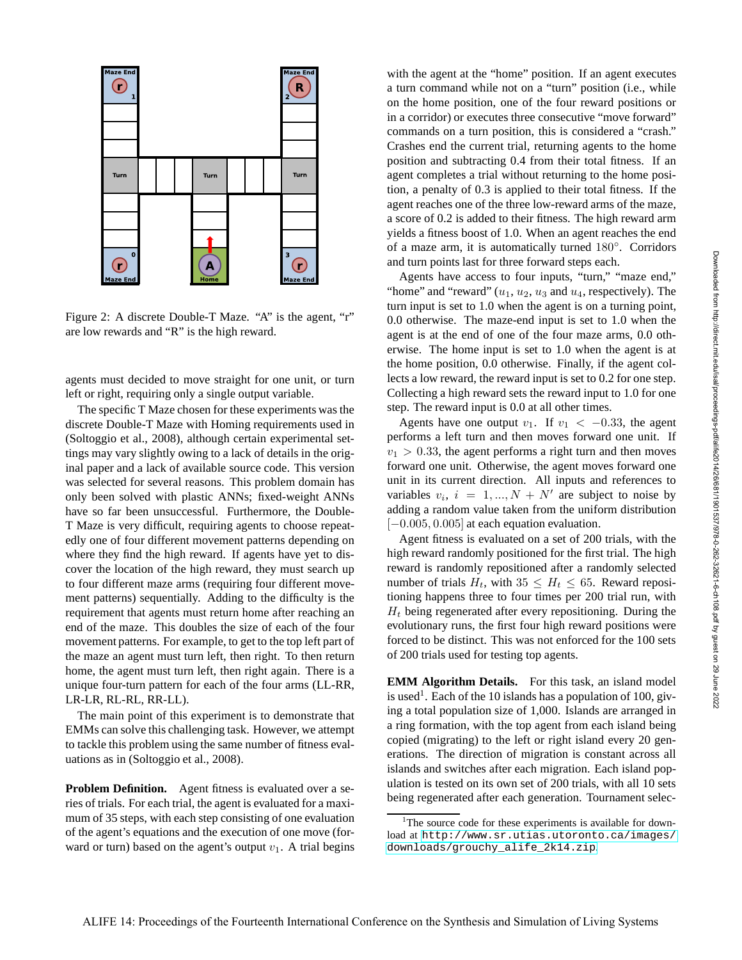

Figure 2: A discrete Double-T Maze. "A" is the agent, "r" are low rewards and "R" is the high reward.

agents must decided to move straight for one unit, or turn left or right, requiring only a single output variable.

The specific T Maze chosen for these experiments was the discrete Double-T Maze with Homing requirements used in (Soltoggio et al., 2008), although certain experimental settings may vary slightly owing to a lack of details in the original paper and a lack of available source code. This version was selected for several reasons. This problem domain has only been solved with plastic ANNs; fixed-weight ANNs have so far been unsuccessful. Furthermore, the Double-T Maze is very difficult, requiring agents to choose repeatedly one of four different movement patterns depending on where they find the high reward. If agents have yet to discover the location of the high reward, they must search up to four different maze arms (requiring four different movement patterns) sequentially. Adding to the difficulty is the requirement that agents must return home after reaching an end of the maze. This doubles the size of each of the four movement patterns. For example, to get to the top left part of the maze an agent must turn left, then right. To then return home, the agent must turn left, then right again. There is a unique four-turn pattern for each of the four arms (LL-RR, LR-LR, RL-RL, RR-LL).

The main point of this experiment is to demonstrate that EMMs can solve this challenging task. However, we attempt to tackle this problem using the same number of fitness evaluations as in (Soltoggio et al., 2008).

**Problem Definition.** Agent fitness is evaluated over a series of trials. For each trial, the agent is evaluated for a maximum of 35 steps, with each step consisting of one evaluation of the agent's equations and the execution of one move (forward or turn) based on the agent's output  $v_1$ . A trial begins

with the agent at the "home" position. If an agent executes a turn command while not on a "turn" position (i.e., while on the home position, one of the four reward positions or in a corridor) or executes three consecutive "move forward" commands on a turn position, this is considered a "crash." Crashes end the current trial, returning agents to the home position and subtracting 0.4 from their total fitness. If an agent completes a trial without returning to the home position, a penalty of 0.3 is applied to their total fitness. If the agent reaches one of the three low-reward arms of the maze, a score of 0.2 is added to their fitness. The high reward arm yields a fitness boost of 1.0. When an agent reaches the end of a maze arm, it is automatically turned 180◦ . Corridors and turn points last for three forward steps each.

Agents have access to four inputs, "turn," "maze end," "home" and "reward"  $(u_1, u_2, u_3)$  and  $u_4$ , respectively). The turn input is set to 1.0 when the agent is on a turning point, 0.0 otherwise. The maze-end input is set to 1.0 when the agent is at the end of one of the four maze arms, 0.0 otherwise. The home input is set to 1.0 when the agent is at the home position, 0.0 otherwise. Finally, if the agent collects a low reward, the reward input is set to 0.2 for one step. Collecting a high reward sets the reward input to 1.0 for one step. The reward input is 0.0 at all other times.

Agents have one output  $v_1$ . If  $v_1 < -0.33$ , the agent performs a left turn and then moves forward one unit. If  $v_1 > 0.33$ , the agent performs a right turn and then moves forward one unit. Otherwise, the agent moves forward one unit in its current direction. All inputs and references to variables  $v_i$ ,  $i = 1, ..., N + N'$  are subject to noise by adding a random value taken from the uniform distribution  $[-0.005, 0.005]$  at each equation evaluation.

Agent fitness is evaluated on a set of 200 trials, with the high reward randomly positioned for the first trial. The high reward is randomly repositioned after a randomly selected number of trials  $H_t$ , with  $35 \leq H_t \leq 65$ . Reward repositioning happens three to four times per 200 trial run, with  $H_t$  being regenerated after every repositioning. During the evolutionary runs, the first four high reward positions were forced to be distinct. This was not enforced for the 100 sets of 200 trials used for testing top agents.

**EMM Algorithm Details.** For this task, an island model is used<sup>1</sup>. Each of the 10 islands has a population of 100, giving a total population size of 1,000. Islands are arranged in a ring formation, with the top agent from each island being copied (migrating) to the left or right island every 20 generations. The direction of migration is constant across all islands and switches after each migration. Each island population is tested on its own set of 200 trials, with all 10 sets being regenerated after each generation. Tournament selec-

<sup>&</sup>lt;sup>1</sup>The source code for these experiments is available for download at [http://www.sr.utias.utoronto.ca/images/](http://www.sr.utias.utoronto.ca/images/downloads/grouchy_alife_2k14.zip) [downloads/grouchy\\_alife\\_2k14.zip](http://www.sr.utias.utoronto.ca/images/downloads/grouchy_alife_2k14.zip).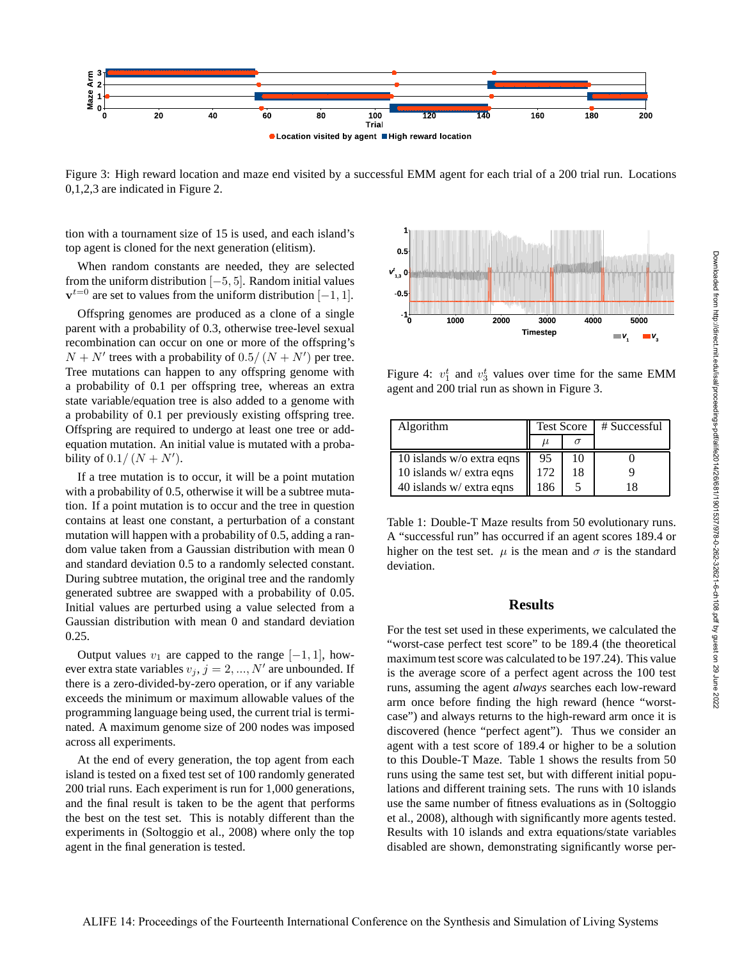

Figure 3: High reward location and maze end visited by a successful EMM agent for each trial of a 200 trial run. Locations 0,1,2,3 are indicated in Figure 2.

tion with a tournament size of 15 is used, and each island's top agent is cloned for the next generation (elitism).

When random constants are needed, they are selected from the uniform distribution [−5, 5]. Random initial values  $v^{t=0}$  are set to values from the uniform distribution [-1, 1].

Offspring genomes are produced as a clone of a single parent with a probability of 0.3, otherwise tree-level sexual recombination can occur on one or more of the offspring's  $N + N'$  trees with a probability of 0.5/  $(N + N')$  per tree. Tree mutations can happen to any offspring genome with a probability of 0.1 per offspring tree, whereas an extra state variable/equation tree is also added to a genome with a probability of 0.1 per previously existing offspring tree. Offspring are required to undergo at least one tree or addequation mutation. An initial value is mutated with a probability of  $0.1/(N+N')$ .

If a tree mutation is to occur, it will be a point mutation with a probability of 0.5, otherwise it will be a subtree mutation. If a point mutation is to occur and the tree in question contains at least one constant, a perturbation of a constant mutation will happen with a probability of 0.5, adding a random value taken from a Gaussian distribution with mean 0 and standard deviation 0.5 to a randomly selected constant. During subtree mutation, the original tree and the randomly generated subtree are swapped with a probability of 0.05. Initial values are perturbed using a value selected from a Gaussian distribution with mean 0 and standard deviation 0.25.

Output values  $v_1$  are capped to the range [−1, 1], however extra state variables  $v_j$ ,  $j = 2, ..., N'$  are unbounded. If there is a zero-divided-by-zero operation, or if any variable exceeds the minimum or maximum allowable values of the programming language being used, the current trial is terminated. A maximum genome size of 200 nodes was imposed across all experiments.

At the end of every generation, the top agent from each island is tested on a fixed test set of 100 randomly generated 200 trial runs. Each experiment is run for 1,000 generations, and the final result is taken to be the agent that performs the best on the test set. This is notably different than the experiments in (Soltoggio et al., 2008) where only the top agent in the final generation is tested.



Figure 4:  $v_1^t$  and  $v_3^t$  values over time for the same EMM agent and 200 trial run as shown in Figure 3.

| Algorithm                 | <b>Test Score</b> |    | $#$ Successful |
|---------------------------|-------------------|----|----------------|
|                           | μ                 |    |                |
| 10 islands w/o extra eqns | 95                | 10 |                |
| 10 islands $w$ extra eqns | 172               | 18 |                |
| 40 islands $w$ extra eqns | 186               |    |                |

Table 1: Double-T Maze results from 50 evolutionary runs. A "successful run" has occurred if an agent scores 189.4 or higher on the test set.  $\mu$  is the mean and  $\sigma$  is the standard deviation.

#### **Results**

For the test set used in these experiments, we calculated the "worst-case perfect test score" to be 189.4 (the theoretical maximum test score was calculated to be 197.24). This value is the average score of a perfect agent across the 100 test runs, assuming the agent *always* searches each low-reward arm once before finding the high reward (hence "worstcase") and always returns to the high-reward arm once it is discovered (hence "perfect agent"). Thus we consider an agent with a test score of 189.4 or higher to be a solution to this Double-T Maze. Table 1 shows the results from 50 runs using the same test set, but with different initial populations and different training sets. The runs with 10 islands use the same number of fitness evaluations as in (Soltoggio et al., 2008), although with significantly more agents tested. Results with 10 islands and extra equations/state variables disabled are shown, demonstrating significantly worse per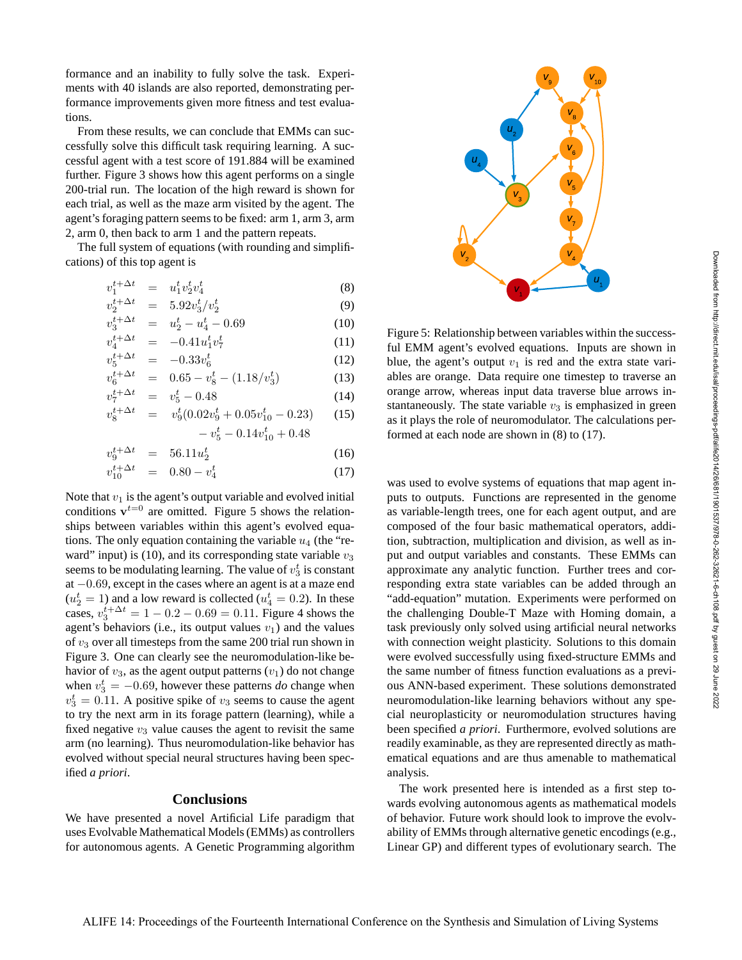formance and an inability to fully solve the task. Experiments with 40 islands are also reported, demonstrating performance improvements given more fitness and test evaluations.

From these results, we can conclude that EMMs can successfully solve this difficult task requiring learning. A successful agent with a test score of 191.884 will be examined further. Figure 3 shows how this agent performs on a single 200-trial run. The location of the high reward is shown for each trial, as well as the maze arm visited by the agent. The agent's foraging pattern seems to be fixed: arm 1, arm 3, arm 2, arm 0, then back to arm 1 and the pattern repeats.

The full system of equations (with rounding and simplifications) of this top agent is

$$
v_1^{t + \Delta t} = u_1^t v_2^t v_4^t \tag{8}
$$

$$
v_2^{t + \Delta t} = 5.92 v_3^t / v_2^t \tag{9}
$$

$$
v_3^{t + \Delta t} = u_2^t - u_4^t - 0.69 \tag{10}
$$

$$
v_4^{t + \Delta t} = -0.41 u_1^t v_7^t \tag{11}
$$

$$
v_5^{t + \Delta t} = -0.33v_6^t \tag{12}
$$

$$
v_6^{t + \Delta t} = 0.65 - v_8^t - (1.18/v_3^t)
$$
 (13)

$$
v_7^{t + \Delta t} = v_5^t - 0.48
$$
\n
$$
v_8^{t + \Delta t} = v_9^t (0.02v_9^t + 0.05v_{10}^t - 0.23)
$$
\n(14)

$$
-v_5^t - 0.14v_{10}^t + 0.48
$$

$$
v_9^{t + \Delta t} = 56.11 u_2^t \tag{16}
$$

$$
v_{10}^{t + \Delta t} = 0.80 - v_4^t \tag{17}
$$

Note that  $v_1$  is the agent's output variable and evolved initial conditions  $v^{t=0}$  are omitted. Figure 5 shows the relationships between variables within this agent's evolved equations. The only equation containing the variable  $u_4$  (the "reward" input) is (10), and its corresponding state variable  $v_3$ seems to be modulating learning. The value of  $v_3^t$  is constant at −0.69, except in the cases where an agent is at a maze end  $(u_2^t = 1)$  and a low reward is collected  $(u_4^t = 0.2)$ . In these cases,  $v_3^{t + \Delta t} = 1 - 0.2 - 0.69 = 0.11$ . Figure 4 shows the agent's behaviors (i.e., its output values  $v_1$ ) and the values of  $v_3$  over all timesteps from the same 200 trial run shown in Figure 3. One can clearly see the neuromodulation-like behavior of  $v_3$ , as the agent output patterns  $(v_1)$  do not change when  $v_3^t = -0.69$ , however these patterns *do* change when  $v_3^t = 0.11$ . A positive spike of  $v_3$  seems to cause the agent to try the next arm in its forage pattern (learning), while a fixed negative  $v_3$  value causes the agent to revisit the same arm (no learning). Thus neuromodulation-like behavior has evolved without special neural structures having been specified *a priori*.

#### **Conclusions**

We have presented a novel Artificial Life paradigm that uses Evolvable Mathematical Models (EMMs) as controllers for autonomous agents. A Genetic Programming algorithm



Figure 5: Relationship between variables within the successful EMM agent's evolved equations. Inputs are shown in blue, the agent's output  $v_1$  is red and the extra state variables are orange. Data require one timestep to traverse an orange arrow, whereas input data traverse blue arrows instantaneously. The state variable  $v_3$  is emphasized in green as it plays the role of neuromodulator. The calculations performed at each node are shown in (8) to (17).

was used to evolve systems of equations that map agent inputs to outputs. Functions are represented in the genome as variable-length trees, one for each agent output, and are composed of the four basic mathematical operators, addition, subtraction, multiplication and division, as well as input and output variables and constants. These EMMs can approximate any analytic function. Further trees and corresponding extra state variables can be added through an "add-equation" mutation. Experiments were performed on the challenging Double-T Maze with Homing domain, a task previously only solved using artificial neural networks with connection weight plasticity. Solutions to this domain were evolved successfully using fixed-structure EMMs and the same number of fitness function evaluations as a previous ANN-based experiment. These solutions demonstrated neuromodulation-like learning behaviors without any special neuroplasticity or neuromodulation structures having been specified *a priori*. Furthermore, evolved solutions are readily examinable, as they are represented directly as mathematical equations and are thus amenable to mathematical analysis.

The work presented here is intended as a first step towards evolving autonomous agents as mathematical models of behavior. Future work should look to improve the evolvability of EMMs through alternative genetic encodings (e.g., Linear GP) and different types of evolutionary search. The